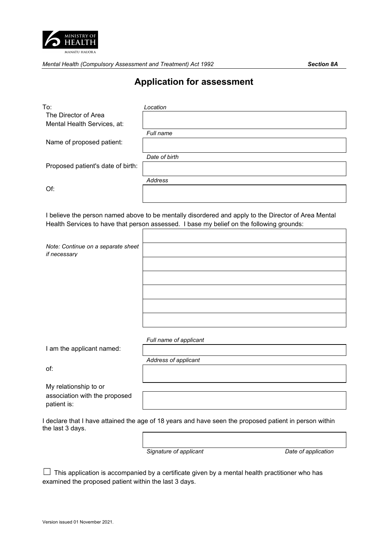

*Mental Health (Compulsory Assessment and Treatment) Act 1992 Section 8A* 

## **Application for assessment**

| To:                                                                                                                                                                                             | Location               |
|-------------------------------------------------------------------------------------------------------------------------------------------------------------------------------------------------|------------------------|
| The Director of Area                                                                                                                                                                            |                        |
| Mental Health Services, at:                                                                                                                                                                     |                        |
|                                                                                                                                                                                                 | Full name              |
| Name of proposed patient:                                                                                                                                                                       |                        |
|                                                                                                                                                                                                 | Date of birth          |
| Proposed patient's date of birth:                                                                                                                                                               |                        |
|                                                                                                                                                                                                 | <b>Address</b>         |
| Of:                                                                                                                                                                                             |                        |
| I believe the person named above to be mentally disordered and apply to the Director of Area Mental<br>Health Services to have that person assessed. I base my belief on the following grounds: |                        |
| Note: Continue on a separate sheet<br>if necessary                                                                                                                                              |                        |
|                                                                                                                                                                                                 |                        |
|                                                                                                                                                                                                 |                        |
|                                                                                                                                                                                                 |                        |
|                                                                                                                                                                                                 |                        |
|                                                                                                                                                                                                 |                        |
|                                                                                                                                                                                                 |                        |
|                                                                                                                                                                                                 | Full name of applicant |
| I am the applicant named:                                                                                                                                                                       |                        |
|                                                                                                                                                                                                 | Address of applicant   |
| of:                                                                                                                                                                                             |                        |
| My relationship to or                                                                                                                                                                           |                        |
| association with the proposed<br>patient is:                                                                                                                                                    |                        |
| I declare that I have attained the age of 18 years and have seen the proposed patient in person within<br>the last 3 days.                                                                      |                        |
|                                                                                                                                                                                                 |                        |

*Signature of applicant Date of application*

 $\Box$  This application is accompanied by a certificate given by a mental health practitioner who has examined the proposed patient within the last 3 days.